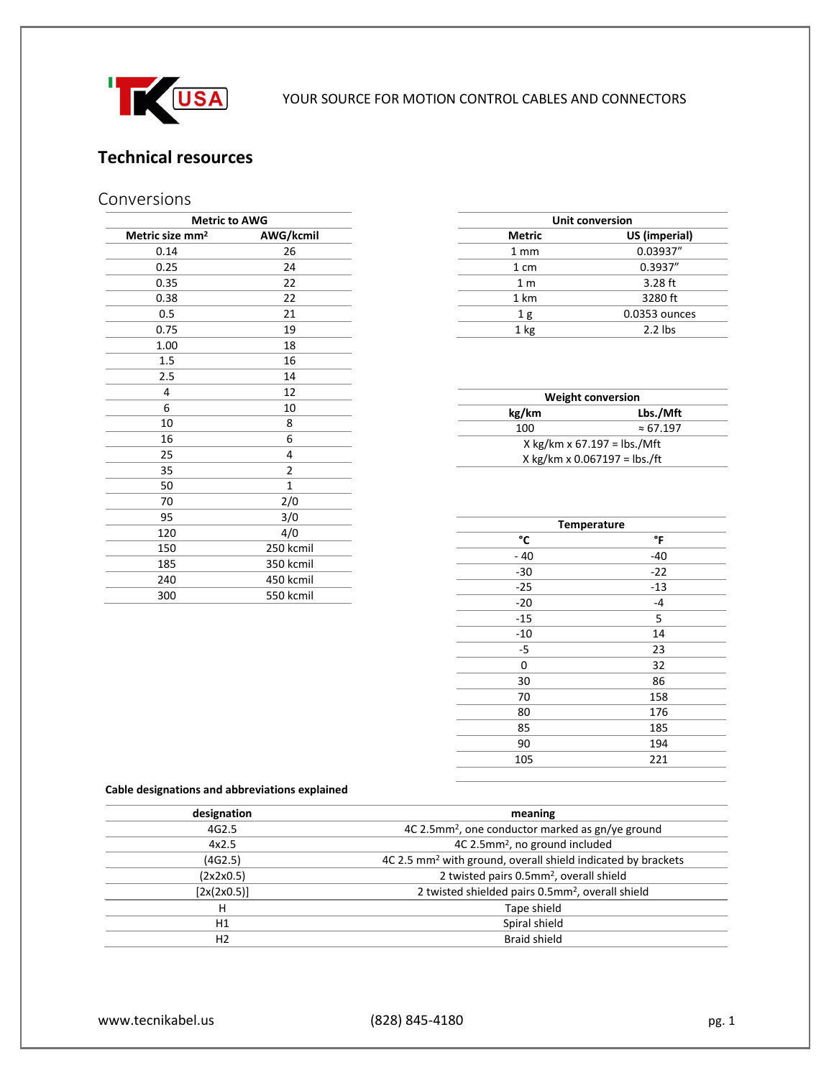

# **Technical resources**

# Conversions

| <b>Metric to AWG</b>        |              |  |  |  |
|-----------------------------|--------------|--|--|--|
| Metric size mm <sup>2</sup> | AWG/kcmil    |  |  |  |
| 0.14                        | 26           |  |  |  |
| 0.25                        | 24           |  |  |  |
| 0.35                        | 22           |  |  |  |
| 0.38                        | 22           |  |  |  |
| 0.5                         | 21           |  |  |  |
| 0.75                        | 19           |  |  |  |
| 1.00                        | 18           |  |  |  |
| 1.5                         | 16           |  |  |  |
| 2.5                         | 14           |  |  |  |
| 4                           | 12           |  |  |  |
| 6                           | 10           |  |  |  |
| 10                          | 8            |  |  |  |
| 16                          | 6            |  |  |  |
| 25                          | 4            |  |  |  |
| 35                          | 2            |  |  |  |
| 50                          | $\mathbf{1}$ |  |  |  |
| 70                          | 2/0          |  |  |  |
| 95                          | 3/0          |  |  |  |
| 120                         | 4/0          |  |  |  |
| 150                         | 250 kcmil    |  |  |  |
| 185                         | 350 kcmil    |  |  |  |
| 240                         | 450 kcmil    |  |  |  |
| 300                         | 550 kcmil    |  |  |  |

| <b>Unit conversion</b> |               |  |  |
|------------------------|---------------|--|--|
| <b>Metric</b>          | US (imperial) |  |  |
| $1 \text{ mm}$         | 0.03937"      |  |  |
| 1 cm                   | 0.3937"       |  |  |
| 1 <sub>m</sub>         | $3.28$ ft     |  |  |
| 1 km                   | 3280 ft       |  |  |
| 1g                     | 0.0353 ounces |  |  |
| 1 <sub>kg</sub>        | $2.2$ lbs     |  |  |

| <b>Weight conversion</b>      |                  |  |  |  |  |
|-------------------------------|------------------|--|--|--|--|
| Lbs./Mft<br>kg/km             |                  |  |  |  |  |
| 100                           | $\approx 67.197$ |  |  |  |  |
| X kg/km x $67.197 =$ lbs./Mft |                  |  |  |  |  |
| X kg/km x 0.067197 = lbs./ft  |                  |  |  |  |  |

| <b>Temperature</b> |       |  |  |
|--------------------|-------|--|--|
| °C                 | °F    |  |  |
| $-40$              | $-40$ |  |  |
| $-30$              | $-22$ |  |  |
| $-25$              | $-13$ |  |  |
| $-20$              | $-4$  |  |  |
| -15                | 5     |  |  |
| $-10$              | 14    |  |  |
| -5                 | 23    |  |  |
| 0                  | 32    |  |  |
| 30                 | 86    |  |  |
| 70                 | 158   |  |  |
| 80                 | 176   |  |  |
| 85                 | 185   |  |  |
| 90                 | 194   |  |  |
| 105                | 221   |  |  |
|                    |       |  |  |

#### **Cable designations and abbreviations explained**

| designation    | meaning                                                                  |  |
|----------------|--------------------------------------------------------------------------|--|
| 4G2.5          | 4C 2.5mm <sup>2</sup> , one conductor marked as gn/ye ground             |  |
| 4x2.5          | 4C 2.5mm <sup>2</sup> , no ground included                               |  |
| (4G2.5)        | 4C 2.5 mm <sup>2</sup> with ground, overall shield indicated by brackets |  |
| (2x2x0.5)      | 2 twisted pairs 0.5mm <sup>2</sup> , overall shield                      |  |
| $[2x(2x0.5)]$  | 2 twisted shielded pairs 0.5mm <sup>2</sup> , overall shield             |  |
| н              | Tape shield                                                              |  |
| H1             | Spiral shield                                                            |  |
| H <sub>2</sub> | <b>Braid shield</b>                                                      |  |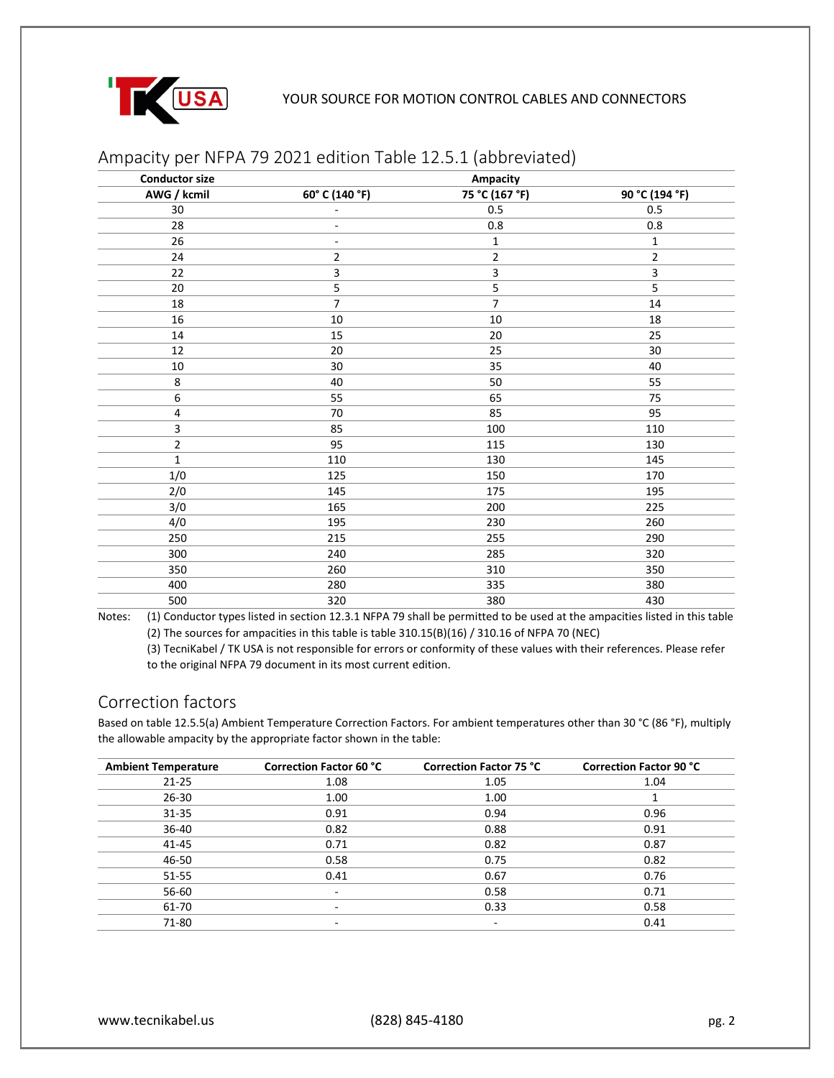

| <b>Conductor size</b> | <b>Ampacity</b>          |                |                |  |
|-----------------------|--------------------------|----------------|----------------|--|
| AWG / kcmil           | 60° C (140 °F)           | 75 °C (167 °F) | 90 °C (194 °F) |  |
| 30                    | ٠                        | 0.5            | 0.5            |  |
| 28                    | $\overline{\phantom{a}}$ | 0.8            | 0.8            |  |
| 26                    | $\overline{\phantom{a}}$ | $\mathbf{1}$   | $\mathbf 1$    |  |
| 24                    | 2                        | $\mathbf 2$    | $\overline{2}$ |  |
| 22                    | 3                        | 3              | 3              |  |
| 20                    | 5                        | 5              | 5              |  |
| 18                    | $\overline{7}$           | $\overline{7}$ | 14             |  |
| 16                    | $10\,$                   | $10\,$         | 18             |  |
| 14                    | 15                       | 20             | 25             |  |
| 12                    | 20                       | 25             | 30             |  |
| $10\,$                | $30\,$                   | 35             | 40             |  |
| 8                     | 40                       | 50             | 55             |  |
| 6                     | 55                       | 65             | 75             |  |
| 4                     | 70                       | 85             | 95             |  |
| 3                     | 85                       | 100            | 110            |  |
| $\overline{2}$        | 95                       | 115            | 130            |  |
| $\mathbf{1}$          | 110                      | 130            | 145            |  |
| 1/0                   | 125                      | 150            | 170            |  |
| 2/0                   | 145                      | 175            | 195            |  |
| 3/0                   | 165                      | 200            | 225            |  |
| 4/0                   | 195                      | 230            | 260            |  |
| 250                   | 215                      | 255            | 290            |  |
| 300                   | 240                      | 285            | 320            |  |
| 350                   | 260                      | 310            | 350            |  |
| 400                   | 280                      | 335            | 380            |  |
| 500                   | 320                      | 380            | 430            |  |

### Ampacity per NFPA 79 2021 edition Table 12.5.1 (abbreviated)

Notes: (1) Conductor types listed in section 12.3.1 NFPA 79 shall be permitted to be used at the ampacities listed in this table (2) The sources for ampacities in this table is table 310.15(B)(16) / 310.16 of NFPA 70 (NEC)

(3) TecniKabel / TK USA is not responsible for errors or conformity of these values with their references. Please refer to the original NFPA 79 document in its most current edition.

### Correction factors

Based on table 12.5.5(a) Ambient Temperature Correction Factors. For ambient temperatures other than 30 °C (86 °F), multiply the allowable ampacity by the appropriate factor shown in the table:

| <b>Ambient Temperature</b> | <b>Correction Factor 60 °C</b> | <b>Correction Factor 75 °C</b> | <b>Correction Factor 90 °C</b> |
|----------------------------|--------------------------------|--------------------------------|--------------------------------|
| $21 - 25$                  | 1.08                           | 1.05                           | 1.04                           |
| $26 - 30$                  | 1.00                           | 1.00                           |                                |
| $31 - 35$                  | 0.91                           | 0.94                           | 0.96                           |
| 36-40                      | 0.82                           | 0.88                           | 0.91                           |
| 41-45                      | 0.71                           | 0.82                           | 0.87                           |
| 46-50                      | 0.58                           | 0.75                           | 0.82                           |
| 51-55                      | 0.41                           | 0.67                           | 0.76                           |
| 56-60                      | ٠                              | 0.58                           | 0.71                           |
| 61-70                      | $\overline{\phantom{0}}$       | 0.33                           | 0.58                           |
| 71-80                      | ۰                              | ۰                              | 0.41                           |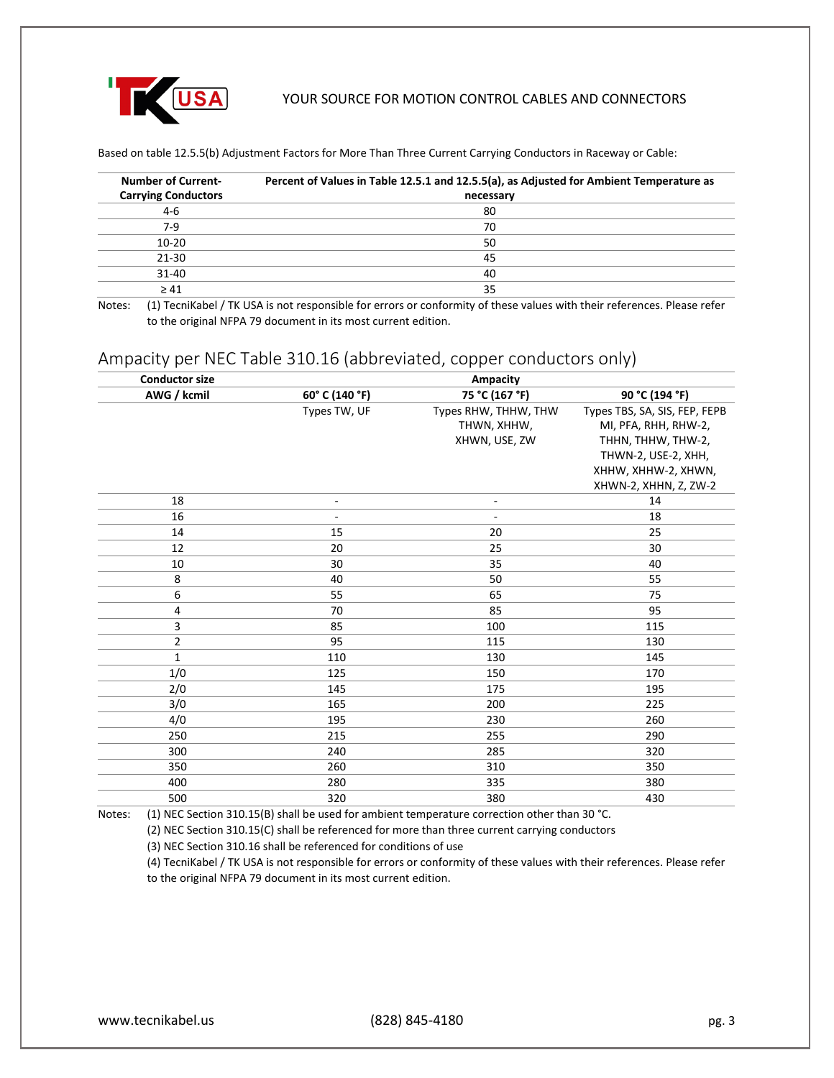

Based on table 12.5.5(b) Adjustment Factors for More Than Three Current Carrying Conductors in Raceway or Cable:

| <b>Number of Current-</b>  | Percent of Values in Table 12.5.1 and 12.5.5(a), as Adjusted for Ambient Temperature as |
|----------------------------|-----------------------------------------------------------------------------------------|
| <b>Carrying Conductors</b> | necessary                                                                               |
| $4-6$                      | 80                                                                                      |
| $7-9$                      | 70                                                                                      |
| $10 - 20$                  | 50                                                                                      |
| $21 - 30$                  | 45                                                                                      |
| $31 - 40$                  | 40                                                                                      |
| $\geq 41$                  | 35                                                                                      |

Notes: (1) TecniKabel / TK USA is not responsible for errors or conformity of these values with their references. Please refer to the original NFPA 79 document in its most current edition.

### Ampacity per NEC Table 310.16 (abbreviated, copper conductors only)

| <b>Conductor size</b> | <b>Ampacity</b>                  |                          |                               |  |
|-----------------------|----------------------------------|--------------------------|-------------------------------|--|
| AWG / kcmil           | 75 °C (167 °F)<br>60° C (140 °F) |                          | 90 °C (194 °F)                |  |
|                       | Types TW, UF                     | Types RHW, THHW, THW     | Types TBS, SA, SIS, FEP, FEPB |  |
|                       |                                  | THWN, XHHW,              | MI, PFA, RHH, RHW-2,          |  |
|                       |                                  | XHWN, USE, ZW            | THHN, THHW, THW-2,            |  |
|                       |                                  |                          | THWN-2, USE-2, XHH,           |  |
|                       |                                  |                          | XHHW, XHHW-2, XHWN,           |  |
|                       |                                  |                          | XHWN-2, XHHN, Z, ZW-2         |  |
| 18                    | $\overline{\phantom{a}}$         | $\overline{\phantom{a}}$ | 14                            |  |
| 16                    | $\overline{\phantom{a}}$         | $\overline{\phantom{a}}$ | 18                            |  |
| 14                    | 15                               | 20                       | 25                            |  |
| 12                    | 20                               | 25                       | 30                            |  |
| 10                    | 30                               | 35                       | 40                            |  |
| 8                     | 40                               | 50                       | 55                            |  |
| 6                     | 55                               | 65                       | 75                            |  |
| 4                     | 70                               | 85                       | 95                            |  |
| 3                     | 85                               | 100                      | 115                           |  |
| 2                     | 95                               | 115                      | 130                           |  |
| $\mathbf{1}$          | 110                              | 130                      | 145                           |  |
| 1/0                   | 125                              | 150                      | 170                           |  |
| 2/0                   | 145                              | 175                      | 195                           |  |
| 3/0                   | 165                              | 200                      | 225                           |  |
| 4/0                   | 195                              | 230                      | 260                           |  |
| 250                   | 215                              | 255                      | 290                           |  |
| 300                   | 240                              | 285                      | 320                           |  |
| 350                   | 260                              | 310                      | 350                           |  |
| 400                   | 280                              | 335                      | 380                           |  |
| 500                   | 320                              | 380                      | 430                           |  |
|                       |                                  |                          |                               |  |

Notes: (1) NEC Section 310.15(B) shall be used for ambient temperature correction other than 30 °C.

(2) NEC Section 310.15(C) shall be referenced for more than three current carrying conductors

(3) NEC Section 310.16 shall be referenced for conditions of use

(4) TecniKabel / TK USA is not responsible for errors or conformity of these values with their references. Please refer to the original NFPA 79 document in its most current edition.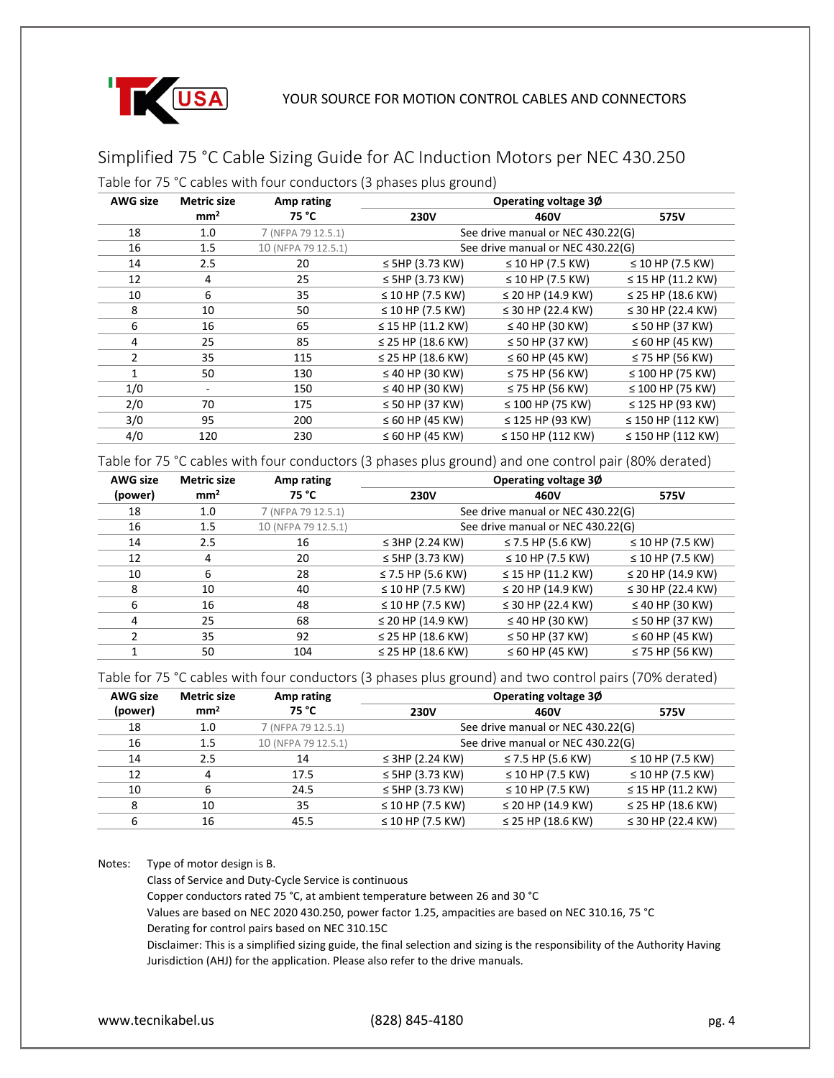

# Simplified 75 °C Cable Sizing Guide for AC Induction Motors per NEC 430.250

Table for 75 °C cables with four conductors (3 phases plus ground)

| <b>AWG size</b> | <b>Metric size</b> | Amp rating          | Operating voltage 30   |                                   |                        |
|-----------------|--------------------|---------------------|------------------------|-----------------------------------|------------------------|
|                 | mm <sup>2</sup>    | 75 °C               | <b>230V</b>            | 460V                              | 575V                   |
| 18              | 1.0                | 7 (NFPA 79 12.5.1)  |                        | See drive manual or NEC 430.22(G) |                        |
| 16              | 1.5                | 10 (NFPA 79 12.5.1) |                        | See drive manual or NEC 430.22(G) |                        |
| 14              | 2.5                | 20                  | $\leq$ 5HP (3.73 KW)   | ≤ 10 HP (7.5 KW)                  | $\leq$ 10 HP (7.5 KW)  |
| 12              | 4                  | 25                  | $\leq$ 5HP (3.73 KW)   | $\leq$ 10 HP (7.5 KW)             | $\leq$ 15 HP (11.2 KW) |
| 10              | 6                  | 35                  | ≤ 10 HP (7.5 KW)       | ≤ 20 HP (14.9 KW)                 | ≤ 25 HP (18.6 KW)      |
| 8               | 10                 | 50                  | $\leq$ 10 HP (7.5 KW)  | ≤ 30 HP (22.4 KW)                 | ≤ 30 HP (22.4 KW)      |
| 6               | 16                 | 65                  | $\leq$ 15 HP (11.2 KW) | $\leq$ 40 HP (30 KW)              | $\leq$ 50 HP (37 KW)   |
| 4               | 25                 | 85                  | ≤ 25 HP (18.6 KW)      | $\leq$ 50 HP (37 KW)              | $\leq 60$ HP (45 KW)   |
| 2               | 35                 | 115                 | ≤ 25 HP (18.6 KW)      | $\leq 60$ HP (45 KW)              | $\leq$ 75 HP (56 KW)   |
| 1               | 50                 | 130                 | $\leq$ 40 HP (30 KW)   | $\leq$ 75 HP (56 KW)              | ≤ 100 HP (75 KW)       |
| 1/0             | ۰                  | 150                 | $\leq$ 40 HP (30 KW)   | $\leq$ 75 HP (56 KW)              | $\leq 100$ HP (75 KW)  |
| 2/0             | 70                 | 175                 | $\leq$ 50 HP (37 KW)   | ≤ 100 HP (75 KW)                  | ≤ 125 HP (93 KW)       |
| 3/0             | 95                 | 200                 | $\leq 60$ HP (45 KW)   | $\leq$ 125 HP (93 KW)             | $\leq$ 150 HP (112 KW) |
| 4/0             | 120                | 230                 | $\leq 60$ HP (45 KW)   | $\leq$ 150 HP (112 KW)            | $\leq$ 150 HP (112 KW) |

Table for 75 °C cables with four conductors (3 phases plus ground) and one control pair (80% derated)

| <b>AWG size</b> | <b>Metric size</b> | Amp rating          | Operating voltage 30  |                                   |                       |  |
|-----------------|--------------------|---------------------|-----------------------|-----------------------------------|-----------------------|--|
| (power)         | mm <sup>2</sup>    | 75 °C               | <b>230V</b>           | 460V                              | 575V                  |  |
| 18              | 1.0                | 7 (NFPA 79 12.5.1)  |                       | See drive manual or NEC 430.22(G) |                       |  |
| 16              | 1.5                | 10 (NFPA 79 12.5.1) |                       | See drive manual or NEC 430.22(G) |                       |  |
| 14              | 2.5                | 16                  | $\leq$ 3HP (2.24 KW)  | ≤ 7.5 HP (5.6 KW)                 | $\leq$ 10 HP (7.5 KW) |  |
| 12              | 4                  | 20                  | $\leq$ 5HP (3.73 KW)  | ≤ 10 HP (7.5 KW)                  | $\leq$ 10 HP (7.5 KW) |  |
| 10              | 6                  | 28                  | ≤ 7.5 HP (5.6 KW)     | $\leq$ 15 HP (11.2 KW)            | ≤ 20 HP (14.9 KW)     |  |
| 8               | 10                 | 40                  | $\leq$ 10 HP (7.5 KW) | ≤ 20 HP (14.9 KW)                 | ≤ 30 HP (22.4 KW)     |  |
| 6               | 16                 | 48                  | $\leq$ 10 HP (7.5 KW) | ≤ 30 HP (22.4 KW)                 | $\leq$ 40 HP (30 KW)  |  |
| 4               | 25                 | 68                  | ≤ 20 HP (14.9 KW)     | $\leq$ 40 HP (30 KW)              | $\leq$ 50 HP (37 KW)  |  |
|                 | 35                 | 92                  | ≤ 25 HP (18.6 KW)     | $\leq$ 50 HP (37 KW)              | $\leq 60$ HP (45 KW)  |  |
|                 | 50                 | 104                 | ≤ 25 HP (18.6 KW)     | $\leq 60$ HP (45 KW)              | $\leq$ 75 HP (56 KW)  |  |

Table for 75 °C cables with four conductors (3 phases plus ground) and two control pairs (70% derated)

| <b>AWG size</b> | <b>Metric size</b> | Amp rating          | Operating voltage 3Ø              |                                   |                        |  |
|-----------------|--------------------|---------------------|-----------------------------------|-----------------------------------|------------------------|--|
| (power)         | mm <sup>2</sup>    | 75 °C               | <b>230V</b>                       | 460V                              | 575V                   |  |
| 18              | 1.0                | 7 (NFPA 79 12.5.1)  |                                   | See drive manual or NEC 430.22(G) |                        |  |
| 16              | 1.5                | 10 (NFPA 79 12.5.1) | See drive manual or NEC 430.22(G) |                                   |                        |  |
| 14              | 2.5                | 14                  | $\leq$ 3HP (2.24 KW)              | ≤ 7.5 HP (5.6 KW)                 | $\leq$ 10 HP (7.5 KW)  |  |
| 12              | 4                  | 17.5                | $\leq$ 5HP (3.73 KW)              | $\leq$ 10 HP (7.5 KW)             | $\leq$ 10 HP (7.5 KW)  |  |
| 10              | 6                  | 24.5                | $\leq$ 5HP (3.73 KW)              | $\leq$ 10 HP (7.5 KW)             | $\leq$ 15 HP (11.2 KW) |  |
| 8               | 10                 | 35                  | ≤ 10 HP (7.5 KW)                  | $\leq$ 20 HP (14.9 KW)            | ≤ 25 HP (18.6 KW)      |  |
| 6               | 16                 | 45.5                | $\leq$ 10 HP (7.5 KW)             | ≤ 25 HP (18.6 KW)                 | ≤ 30 HP (22.4 KW)      |  |

Notes: Type of motor design is B.

Class of Service and Duty-Cycle Service is continuous

Copper conductors rated 75 °C, at ambient temperature between 26 and 30 °C

Values are based on NEC 2020 430.250, power factor 1.25, ampacities are based on NEC 310.16, 75 °C

Derating for control pairs based on NEC 310.15C

Disclaimer: This is a simplified sizing guide, the final selection and sizing is the responsibility of the Authority Having Jurisdiction (AHJ) for the application. Please also refer to the drive manuals.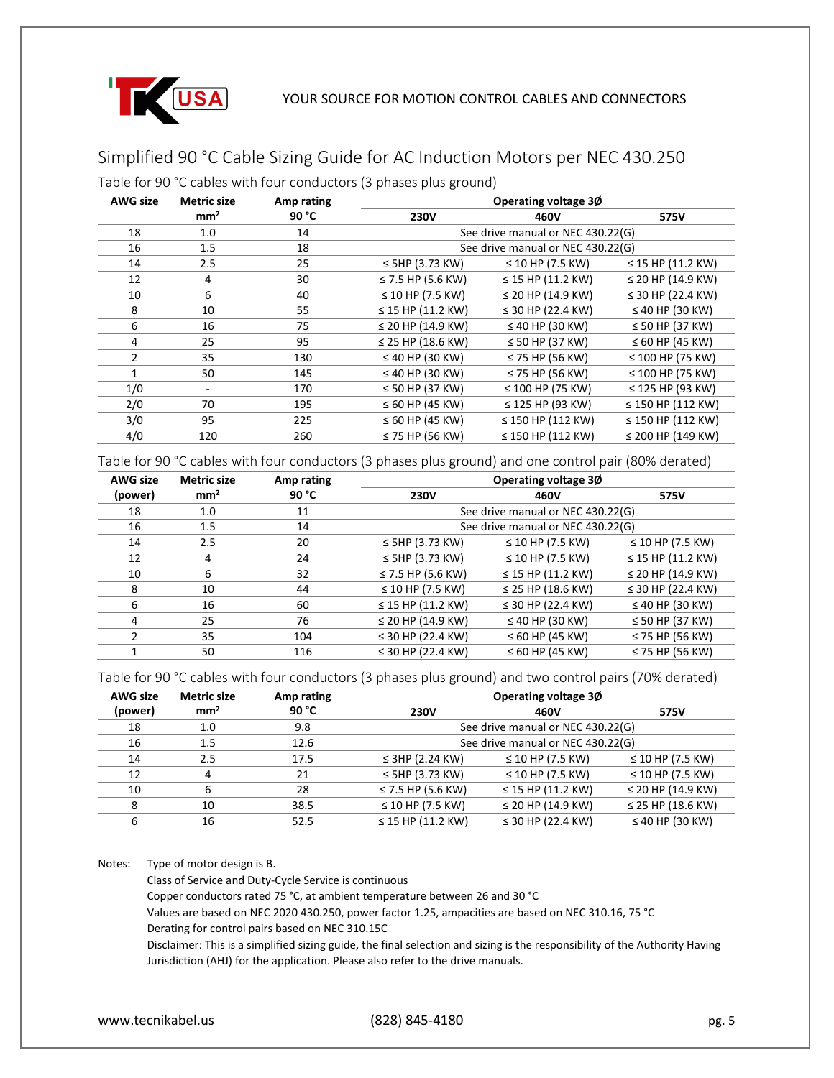

# Simplified 90 °C Cable Sizing Guide for AC Induction Motors per NEC 430.250

Table for 90 °C cables with four conductors (3 phases plus ground)

| <b>AWG size</b> | <b>Metric size</b>       | Amp rating | Operating voltage 30              |                        |                        |
|-----------------|--------------------------|------------|-----------------------------------|------------------------|------------------------|
|                 | mm <sup>2</sup>          | 90 °C      | <b>230V</b>                       | 460V                   | 575V                   |
| 18              | 1.0                      | 14         | See drive manual or NEC 430.22(G) |                        |                        |
| 16              | 1.5                      | 18         | See drive manual or NEC 430.22(G) |                        |                        |
| 14              | 2.5                      | 25         | $\leq$ 5HP (3.73 KW)              | $\leq$ 10 HP (7.5 KW)  | $\leq$ 15 HP (11.2 KW) |
| 12              | 4                        | 30         | ≤ 7.5 HP (5.6 KW)                 | $\leq$ 15 HP (11.2 KW) | ≤ 20 HP (14.9 KW)      |
| 10              | 6                        | 40         | ≤ 10 HP (7.5 KW)                  | ≤ 20 HP (14.9 KW)      | ≤ 30 HP (22.4 KW)      |
| 8               | 10                       | 55         | $\leq$ 15 HP (11.2 KW)            | ≤ 30 HP (22.4 KW)      | $\leq$ 40 HP (30 KW)   |
| 6               | 16                       | 75         | ≤ 20 HP (14.9 KW)                 | $\leq$ 40 HP (30 KW)   | $\leq$ 50 HP (37 KW)   |
| 4               | 25                       | 95         | ≤ 25 HP (18.6 KW)                 | $\leq$ 50 HP (37 KW)   | $\leq 60$ HP (45 KW)   |
| 2               | 35                       | 130        | $\leq$ 40 HP (30 KW)              | $\leq$ 75 HP (56 KW)   | $\leq 100$ HP (75 KW)  |
| 1               | 50                       | 145        | $\leq$ 40 HP (30 KW)              | $\leq$ 75 HP (56 KW)   | $\leq 100$ HP (75 KW)  |
| 1/0             | $\overline{\phantom{a}}$ | 170        | $\leq$ 50 HP (37 KW)              | $\leq 100$ HP (75 KW)  | $\leq$ 125 HP (93 KW)  |
| 2/0             | 70                       | 195        | $\leq 60$ HP (45 KW)              | $\leq$ 125 HP (93 KW)  | $\leq$ 150 HP (112 KW) |
| 3/0             | 95                       | 225        | $\leq 60$ HP (45 KW)              | $\leq$ 150 HP (112 KW) | $\leq$ 150 HP (112 KW) |
| 4/0             | 120                      | 260        | $\leq$ 75 HP (56 KW)              | $\leq$ 150 HP (112 KW) | ≤ 200 HP (149 KW)      |

Table for 90 °C cables with four conductors (3 phases plus ground) and one control pair (80% derated)

| <b>AWG size</b> | <b>Metric size</b> | Amp rating | Operating voltage 30              |                        |                        |  |
|-----------------|--------------------|------------|-----------------------------------|------------------------|------------------------|--|
| (power)         | mm <sup>2</sup>    | 90 °C      | <b>230V</b>                       | 460V                   | 575V                   |  |
| 18              | 1.0                | 11         | See drive manual or NEC 430.22(G) |                        |                        |  |
| 16              | 1.5                | 14         | See drive manual or NEC 430.22(G) |                        |                        |  |
| 14              | 2.5                | 20         | $\leq$ 5HP (3.73 KW)              | ≤ 10 HP (7.5 KW)       | $\leq$ 10 HP (7.5 KW)  |  |
| 12              | 4                  | 24         | $\leq$ 5HP (3.73 KW)              | ≤ 10 HP (7.5 KW)       | $\leq$ 15 HP (11.2 KW) |  |
| 10              | 6                  | 32         | ≤ 7.5 HP (5.6 KW)                 | $\leq$ 15 HP (11.2 KW) | ≤ 20 HP (14.9 KW)      |  |
| 8               | 10                 | 44         | $\leq$ 10 HP (7.5 KW)             | ≤ 25 HP (18.6 KW)      | ≤ 30 HP (22.4 KW)      |  |
| 6               | 16                 | 60         | $\leq$ 15 HP (11.2 KW)            | ≤ 30 HP (22.4 KW)      | $\leq$ 40 HP (30 KW)   |  |
| 4               | 25                 | 76         | ≤ 20 HP (14.9 KW)                 | $\leq$ 40 HP (30 KW)   | $\leq$ 50 HP (37 KW)   |  |
|                 | 35                 | 104        | ≤ 30 HP (22.4 KW)                 | $\leq 60$ HP (45 KW)   | $\leq$ 75 HP (56 KW)   |  |
|                 | 50                 | 116        | ≤ 30 HP (22.4 KW)                 | $\leq 60$ HP (45 KW)   | $\leq$ 75 HP (56 KW)   |  |

Table for 90 °C cables with four conductors (3 phases plus ground) and two control pairs (70% derated)

| <b>AWG size</b> | <b>Metric size</b> | Amp rating | Operating voltage 30              |                        |                       |
|-----------------|--------------------|------------|-----------------------------------|------------------------|-----------------------|
| (power)         | mm <sup>2</sup>    | 90 °C      | <b>230V</b>                       | 460V                   | 575V                  |
| 18              | 1.0                | 9.8        | See drive manual or NEC 430.22(G) |                        |                       |
| 16              | 1.5                | 12.6       | See drive manual or NEC 430.22(G) |                        |                       |
| 14              | 2.5                | 17.5       | $\leq$ 3HP (2.24 KW)              | $\leq$ 10 HP (7.5 KW)  | $\leq$ 10 HP (7.5 KW) |
| 12              | 4                  | 21         | $\leq$ 5HP (3.73 KW)              | $\leq$ 10 HP (7.5 KW)  | ≤ 10 HP (7.5 KW)      |
| 10              | 6                  | 28         | ≤ 7.5 HP (5.6 KW)                 | $\leq$ 15 HP (11.2 KW) | ≤ 20 HP (14.9 KW)     |
| 8               | 10                 | 38.5       | $\leq$ 10 HP (7.5 KW)             | $\leq$ 20 HP (14.9 KW) | ≤ 25 HP (18.6 KW)     |
| 6               | 16                 | 52.5       | $\leq$ 15 HP (11.2 KW)            | ≤ 30 HP (22.4 KW)      | $\leq$ 40 HP (30 KW)  |

Notes: Type of motor design is B.

Class of Service and Duty-Cycle Service is continuous

Copper conductors rated 75 °C, at ambient temperature between 26 and 30 °C

Values are based on NEC 2020 430.250, power factor 1.25, ampacities are based on NEC 310.16, 75 °C

Derating for control pairs based on NEC 310.15C

Disclaimer: This is a simplified sizing guide, the final selection and sizing is the responsibility of the Authority Having Jurisdiction (AHJ) for the application. Please also refer to the drive manuals.